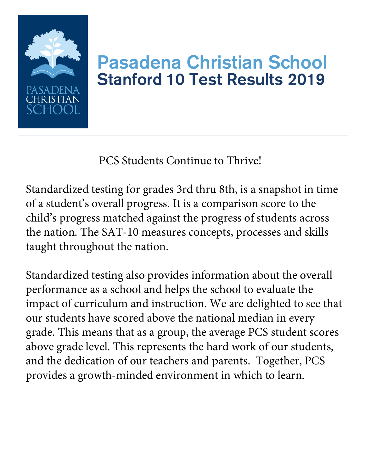

#### Pasadena Christian School Stanford 10 Test Results 2019

PCS Students Continue to Thrive!

Standardized testing for grades 3rd thru 8th, is a snapshot in time of a student's overall progress. It is a comparison score to the child's progress matched against the progress of students across the nation. The SAT-10 measures concepts, processes and skills taught throughout the nation.

Standardized testing also provides information about the overall performance as a school and helps the school to evaluate the impact of curriculum and instruction. We are delighted to see that our students have scored above the national median in every grade. This means that as a group, the average PCS student scores above grade level. This represents the hard work of our students, and the dedication of our teachers and parents. Together, PCS provides a growth-minded environment in which to learn.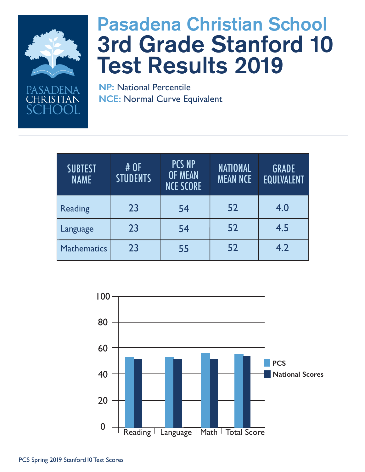

SADEN <del>I</del>RISTIAN

# Pasadena Christian School 3rd Grade Stanford 10 Test Results 2019

| <b>SUBTEST</b><br><b>NAME</b> | # OF<br><b>STUDENTS</b> | <b>PCS NP</b><br><b>OF MEAN</b><br><b>NCE SCORE</b> | <b>NATIONAL</b><br><b>MEAN NCE</b> | <b>GRADE</b><br><b>EQULVALENT</b> |
|-------------------------------|-------------------------|-----------------------------------------------------|------------------------------------|-----------------------------------|
| <b>Reading</b>                | 23                      | 54                                                  | 52                                 | 4.0                               |
| Language                      | 23                      | 54                                                  | 52                                 | 4.5                               |
| <b>Mathematics</b>            | 23                      | 55                                                  | 52                                 | 4.2                               |

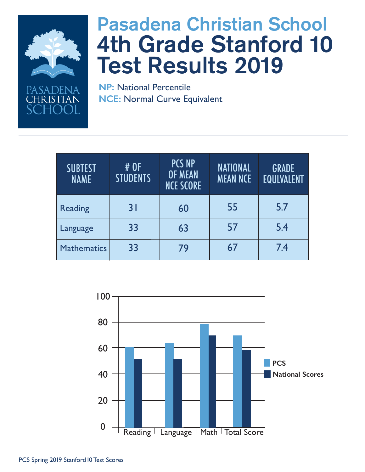

PASADENA **TRISTIAN** 

# Pasadena Christian School 4th Grade Stanford 10 Test Results 2019

| <b>SUBTEST</b><br><b>NAME</b> | # OF<br><b>STUDENTS</b> | <b>PCS NP</b><br><b>OF MEAN</b><br><b>NCE SCORE</b> | <b>NATIONAL</b><br><b>MEAN NCE</b> | <b>GRADE</b><br><b>EQULVALENT</b> |
|-------------------------------|-------------------------|-----------------------------------------------------|------------------------------------|-----------------------------------|
| <b>Reading</b>                | 31                      | 60                                                  | 55                                 | 5.7                               |
| Language                      | 33                      | 63                                                  | 57                                 | 5.4                               |
| <b>Mathematics</b>            | 33                      | 79                                                  | 67                                 | 7.4                               |

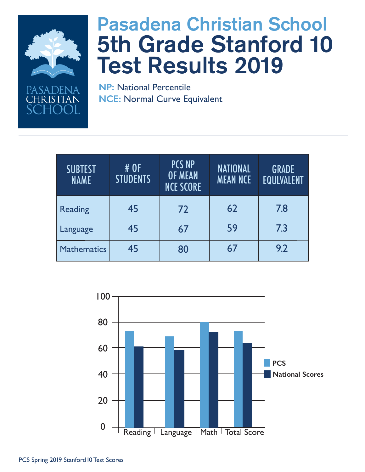

SADENA **IRISTIAN** 

# Pasadena Christian School 5th Grade Stanford 10 Test Results 2019

| <b>SUBTEST</b><br><b>NAME</b> | # OF<br><b>STUDENTS</b> | <b>PCS NP</b><br><b>OF MEAN</b><br><b>NCE SCORE</b> | <b>NATIONAL</b><br><b>MEAN NCE</b> | <b>GRADE</b><br><b>EQULVALENT</b> |
|-------------------------------|-------------------------|-----------------------------------------------------|------------------------------------|-----------------------------------|
| <b>Reading</b>                | 45                      | 72                                                  | 62                                 | 7.8                               |
| Language                      | 45                      | 67                                                  | 59                                 | 7.3                               |
| <b>Mathematics</b>            | 45                      | 80                                                  | 67                                 | 9.2                               |

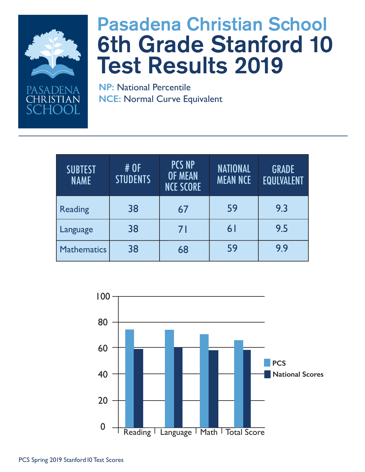

SADENA <del>I</del>RISTIAN

# Pasadena Christian School 6th Grade Stanford 10 Test Results 2019

| <b>SUBTEST</b><br><b>NAME</b> | # OF<br><b>STUDENTS</b> | <b>PCS NP</b><br><b>OF MEAN</b><br><b>NCE SCORE</b> | <b>NATIONAL</b><br><b>MEAN NCE</b> | <b>GRADE</b><br><b>EQULVALENT</b> |
|-------------------------------|-------------------------|-----------------------------------------------------|------------------------------------|-----------------------------------|
| <b>Reading</b>                | 38                      | 67                                                  | 59                                 | 9.3                               |
| Language                      | 38                      | 71                                                  | 6 <sup>1</sup>                     | 9.5                               |
| <b>Mathematics</b>            | 38                      | 68                                                  | 59                                 | 9.9                               |

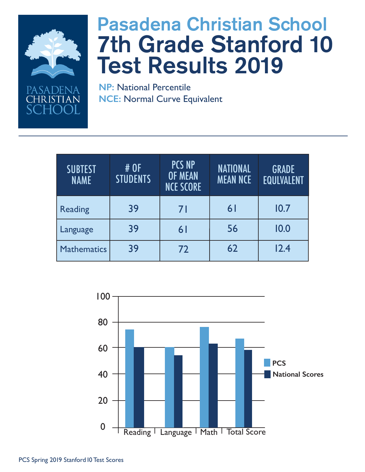

PASADENA **IRISTIAN** 

# Pasadena Christian School 7th Grade Stanford 10 Test Results 2019

| <b>SUBTEST</b><br><b>NAME</b> | # OF<br><b>STUDENTS</b> | <b>PCS NP</b><br><b>OF MEAN</b><br><b>NCE SCORE</b> | <b>NATIONAL</b><br><b>MEAN NCE</b> | <b>GRADE</b><br><b>EQULVALENT</b> |
|-------------------------------|-------------------------|-----------------------------------------------------|------------------------------------|-----------------------------------|
| <b>Reading</b>                | 39                      | 71                                                  | 61                                 | 10.7                              |
| Language                      | 39                      | 61                                                  | 56                                 | 10.0                              |
| <b>Mathematics</b>            | 39                      | 72                                                  | 62                                 | 12.4                              |